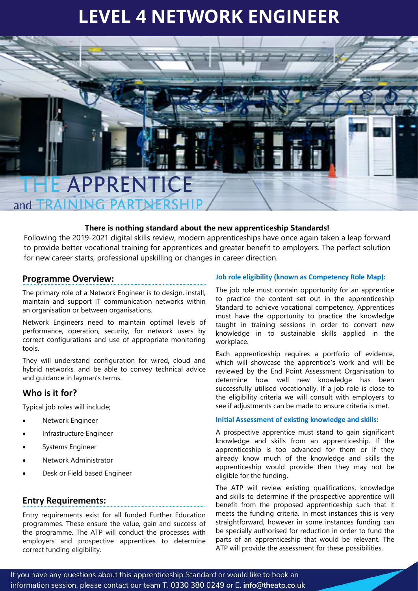# **LEVEL 4 NETWORK ENGINEER**

# **TE APPRENTICE**

and **TRAINING PARTNERSI** 

#### **There is nothing standard about the new apprenticeship Standards!**

Following the 2019-2021 digital skills review, modern apprenticeships have once again taken a leap forward to provide better vocational training for apprentices and greater benefit to employers. The perfect solution for new career starts, professional upskilling or changes in career direction.

#### **Programme Overview:**

The primary role of a Network Engineer is to design, install, maintain and support IT communication networks within an organisation or between organisations.

Network Engineers need to maintain optimal levels of performance, operation, security, for network users by correct configurations and use of appropriate monitoring tools.

They will understand configuration for wired, cloud and hybrid networks, and be able to convey technical advice and guidance in layman's terms.

# **Who is it for?**

Typical job roles will include;

- Network Engineer
- Infrastructure Engineer
- Systems Engineer
- Network Administrator
- Desk or Field based Engineer

# **Entry Requirements:**

Entry requirements exist for all funded Further Education programmes. These ensure the value, gain and success of the programme. The ATP will conduct the processes with employers and prospective apprentices to determine correct funding eligibility.

#### **Job role eligibility (known as Competency Role Map):**

The job role must contain opportunity for an apprentice to practice the content set out in the apprenticeship Standard to achieve vocational competency. Apprentices must have the opportunity to practice the knowledge taught in training sessions in order to convert new knowledge in to sustainable skills applied in the workplace.

Each apprenticeship requires a portfolio of evidence, which will showcase the apprentice's work and will be reviewed by the End Point Assessment Organisation to determine how well new knowledge has been successfully utilised vocationally. If a job role is close to the eligibility criteria we will consult with employers to see if adjustments can be made to ensure criteria is met.

#### **Initial Assessment of existing knowledge and skills:**

A prospective apprentice must stand to gain significant knowledge and skills from an apprenticeship. If the apprenticeship is too advanced for them or if they already know much of the knowledge and skills the apprenticeship would provide then they may not be eligible for the funding.

The ATP will review existing qualifications, knowledge and skills to determine if the prospective apprentice will benefit from the proposed apprenticeship such that it meets the funding criteria. In most instances this is very straightforward, however in some instances funding can be specially authorised for reduction in order to fund the parts of an apprenticeship that would be relevant. The ATP will provide the assessment for these possibilities.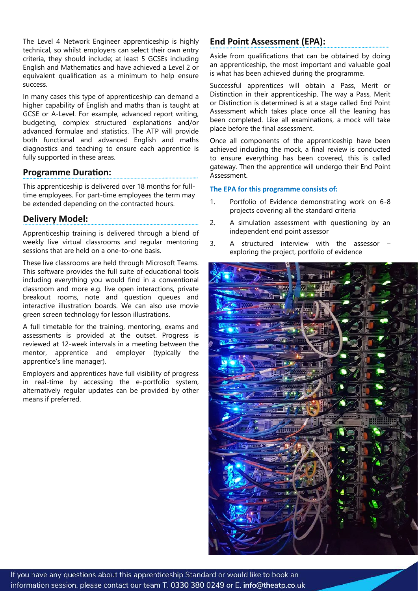The Level 4 Network Engineer apprenticeship is highly technical, so whilst employers can select their own entry criteria, they should include; at least 5 GCSEs including English and Mathematics and have achieved a Level 2 or equivalent qualification as a minimum to help ensure success.

In many cases this type of apprenticeship can demand a higher capability of English and maths than is taught at GCSE or A-Level. For example, advanced report writing, budgeting, complex structured explanations and/or advanced formulae and statistics. The ATP will provide both functional and advanced English and maths diagnostics and teaching to ensure each apprentice is fully supported in these areas.

# **Programme Duration:**

This apprenticeship is delivered over 18 months for fulltime employees. For part-time employees the term may be extended depending on the contracted hours.

# **Delivery Model:**

Apprenticeship training is delivered through a blend of weekly live virtual classrooms and regular mentoring sessions that are held on a one-to-one basis.

These live classrooms are held through Microsoft Teams. This software provides the full suite of educational tools including everything you would find in a conventional classroom and more e.g. live open interactions, private breakout rooms, note and question queues and interactive illustration boards. We can also use movie green screen technology for lesson illustrations.

A full timetable for the training, mentoring, exams and assessments is provided at the outset. Progress is reviewed at 12-week intervals in a meeting between the mentor, apprentice and employer (typically the apprentice's line manager).

Employers and apprentices have full visibility of progress in real-time by accessing the e-portfolio system, alternatively regular updates can be provided by other means if preferred.

# **End Point Assessment (EPA):**

Aside from qualifications that can be obtained by doing an apprenticeship, the most important and valuable goal is what has been achieved during the programme.

Successful apprentices will obtain a Pass, Merit or Distinction in their apprenticeship. The way a Pass, Merit or Distinction is determined is at a stage called End Point Assessment which takes place once all the leaning has been completed. Like all examinations, a mock will take place before the final assessment.

Once all components of the apprenticeship have been achieved including the mock, a final review is conducted to ensure everything has been covered, this is called gateway. Then the apprentice will undergo their End Point Assessment.

#### **The EPA for this programme consists of:**

- 1. Portfolio of Evidence demonstrating work on 6-8 projects covering all the standard criteria
- 2. A simulation assessment with questioning by an independent end point assessor
- 3. A structured interview with the assessor exploring the project, portfolio of evidence

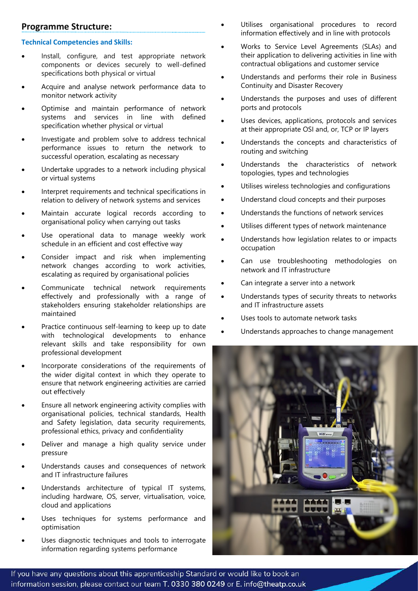# **Programme Structure:**

#### **Technical Competencies and Skills:**

- Install, configure, and test appropriate network components or devices securely to well-defined specifications both physical or virtual
- Acquire and analyse network performance data to monitor network activity
- Optimise and maintain performance of network systems and services in line with defined specification whether physical or virtual
- Investigate and problem solve to address technical performance issues to return the network to successful operation, escalating as necessary
- Undertake upgrades to a network including physical or virtual systems
- Interpret requirements and technical specifications in relation to delivery of network systems and services
- Maintain accurate logical records according to organisational policy when carrying out tasks
- Use operational data to manage weekly work schedule in an efficient and cost effective way
- Consider impact and risk when implementing network changes according to work activities, escalating as required by organisational policies
- Communicate technical network requirements effectively and professionally with a range of stakeholders ensuring stakeholder relationships are maintained
- Practice continuous self-learning to keep up to date with technological developments to enhance relevant skills and take responsibility for own professional development
- Incorporate considerations of the requirements of the wider digital context in which they operate to ensure that network engineering activities are carried out effectively
- Ensure all network engineering activity complies with organisational policies, technical standards, Health and Safety legislation, data security requirements, professional ethics, privacy and confidentiality
- Deliver and manage a high quality service under pressure
- Understands causes and consequences of network and IT infrastructure failures
- Understands architecture of typical IT systems, including hardware, OS, server, virtualisation, voice, cloud and applications
- Uses techniques for systems performance and optimisation
- Uses diagnostic techniques and tools to interrogate information regarding systems performance
- Utilises organisational procedures to record information effectively and in line with protocols
- Works to Service Level Agreements (SLAs) and their application to delivering activities in line with contractual obligations and customer service
- Understands and performs their role in Business Continuity and Disaster Recovery
- Understands the purposes and uses of different ports and protocols
- Uses devices, applications, protocols and services at their appropriate OSI and, or, TCP or IP layers
- Understands the concepts and characteristics of routing and switching
- Understands the characteristics of network topologies, types and technologies
- Utilises wireless technologies and configurations
- Understand cloud concepts and their purposes
- Understands the functions of network services
- Utilises different types of network maintenance
- Understands how legislation relates to or impacts occupation
- Can use troubleshooting methodologies on network and IT infrastructure
- Can integrate a server into a network
- Understands types of security threats to networks and IT infrastructure assets
- Uses tools to automate network tasks
- Understands approaches to change management